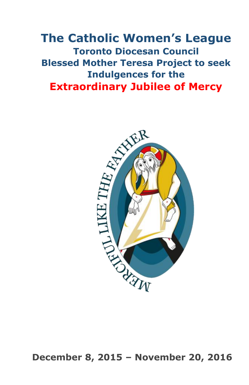# **The Catholic Women's League Toronto Diocesan Council Blessed Mother Teresa Project to seek Indulgences for the Extraordinary Jubilee of Mercy**



**December 8, 2015 – November 20, 2016**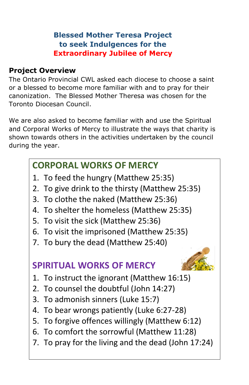## **Blessed Mother Teresa Project to seek Indulgences for the Extraordinary Jubilee of Mercy**

## **Project Overview**

The Ontario Provincial CWL asked each diocese to choose a saint or a blessed to become more familiar with and to pray for their canonization. The Blessed Mother Theresa was chosen for the Toronto Diocesan Council.

We are also asked to become familiar with and use the Spiritual and Corporal Works of Mercy to illustrate the ways that charity is shown towards others in the activities undertaken by the council during the year.

## **CORPORAL WORKS OF MERCY**

- 1. To feed the hungry (Matthew 25:35)
- 2. To give drink to the thirsty (Matthew 25:35)
- 3. To clothe the naked (Matthew 25:36)
- 4. To shelter the homeless (Matthew 25:35)
- 5. To visit the sick (Matthew 25:36)
- 6. To visit the imprisoned (Matthew 25:35)
- 7. To bury the dead (Matthew 25:40)

## **SPIRITUAL WORKS OF MERCY**



- 1. To instruct the ignorant (Matthew 16:15)
- 2. To counsel the doubtful (John 14:27)
- 3. To admonish sinners (Luke 15:7)
- 4. To bear wrongs patiently (Luke 6:27-28)
- 5. To forgive offences willingly (Matthew 6:12)
- 6. To comfort the sorrowful (Matthew 11:28)
- 7. To pray for the living and the dead (John 17:24)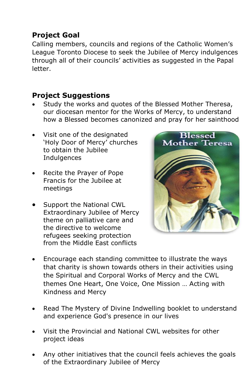## **Project Goal**

Calling members, councils and regions of the Catholic Women's League Toronto Diocese to seek the Jubilee of Mercy indulgences through all of their councils' activities as suggested in the Papal letter.

## **Project Suggestions**

- Study the works and quotes of the Blessed Mother Theresa, our diocesan mentor for the Works of Mercy, to understand how a Blessed becomes canonized and pray for her sainthood
- Visit one of the designated 'Holy Door of Mercy' churches to obtain the Jubilee **Indulgences**
- Recite the Prayer of Pope Francis for the Jubilee at meetings
- Support the National CWL Extraordinary Jubilee of Mercy theme on palliative care and the directive to welcome refugees seeking protection from the Middle East conflicts



- Encourage each standing committee to illustrate the ways that charity is shown towards others in their activities using the Spiritual and Corporal Works of Mercy and the CWL themes One Heart, One Voice, One Mission … Acting with Kindness and Mercy
- Read The Mystery of Divine Indwelling booklet to understand and experience God's presence in our lives
- Visit the Provincial and National CWL websites for other project ideas
- Any other initiatives that the council feels achieves the goals of the Extraordinary Jubilee of Mercy